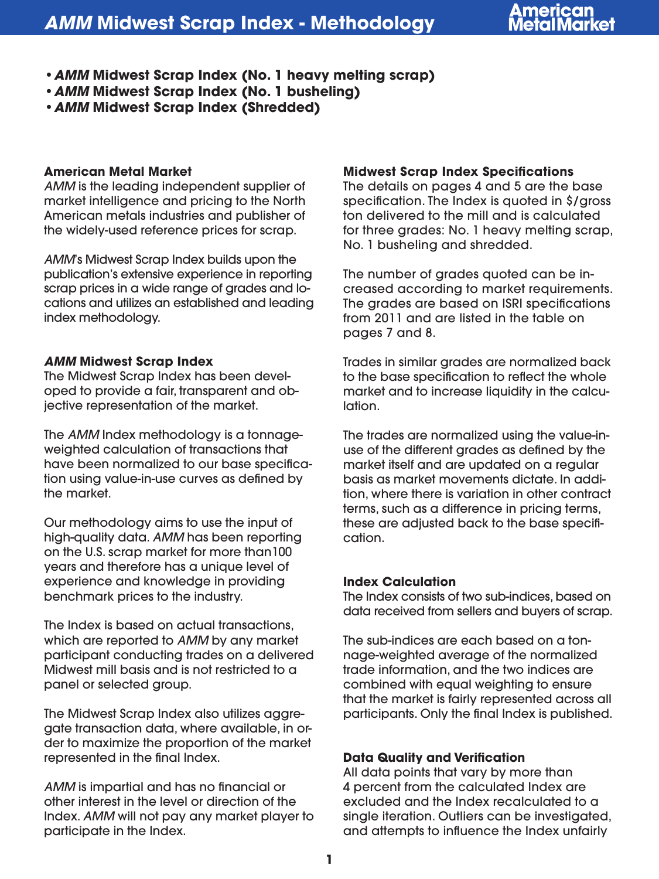- **•***AMM* **Midwest Scrap Index (No. 1 heavy melting scrap)**
- **•***AMM* **Midwest Scrap Index (No. 1 busheling)**
- **•***AMM* **Midwest Scrap Index (Shredded)**

### **American Metal Market**

*AMM* is the leading independent supplier of market intelligence and pricing to the North American metals industries and publisher of the widely-used reference prices for scrap.

*AMM*'s Midwest Scrap Index builds upon the publication's extensive experience in reporting scrap prices in a wide range of grades and locations and utilizes an established and leading index methodology.

## *AMM* **Midwest Scrap Index**

The Midwest Scrap Index has been developed to provide a fair, transparent and objective representation of the market.

The *AMM* Index methodology is a tonnageweighted calculation of transactions that have been normalized to our base specification using value-in-use curves as defined by the market.

Our methodology aims to use the input of high-quality data. *AMM* has been reporting on the U.S. scrap market for more than100 years and therefore has a unique level of experience and knowledge in providing benchmark prices to the industry.

The Index is based on actual transactions, which are reported to *AMM* by any market participant conducting trades on a delivered Midwest mill basis and is not restricted to a panel or selected group.

The Midwest Scrap Index also utilizes aggregate transaction data, where available, in order to maximize the proportion of the market represented in the final Index.

*AMM* is impartial and has no financial or other interest in the level or direction of the Index. *AMM* will not pay any market player to participate in the Index.

## **Midwest Scrap Index Specifications**

The details on pages 4 and 5 are the base specification. The Index is quoted in \$/gross ton delivered to the mill and is calculated for three grades: No. 1 heavy melting scrap, No. 1 busheling and shredded.

The number of grades quoted can be increased according to market requirements. The grades are based on ISRI specifications from 2011 and are listed in the table on pages 7 and 8.

Trades in similar grades are normalized back to the base specification to reflect the whole market and to increase liquidity in the calculation.

The trades are normalized using the value-inuse of the different grades as defined by the market itself and are updated on a regular basis as market movements dictate. In addition, where there is variation in other contract terms, such as a difference in pricing terms, these are adjusted back to the base specification.

# **Index Calculation**

The Index consists of two sub-indices, based on data received from sellers and buyers of scrap.

The sub-indices are each based on a tonnage-weighted average of the normalized trade information, and the two indices are combined with equal weighting to ensure that the market is fairly represented across all participants. Only the final Index is published.

# **Data Quality and Verification**

All data points that vary by more than 4 percent from the calculated Index are excluded and the Index recalculated to a single iteration. Outliers can be investigated, and attempts to influence the Index unfairly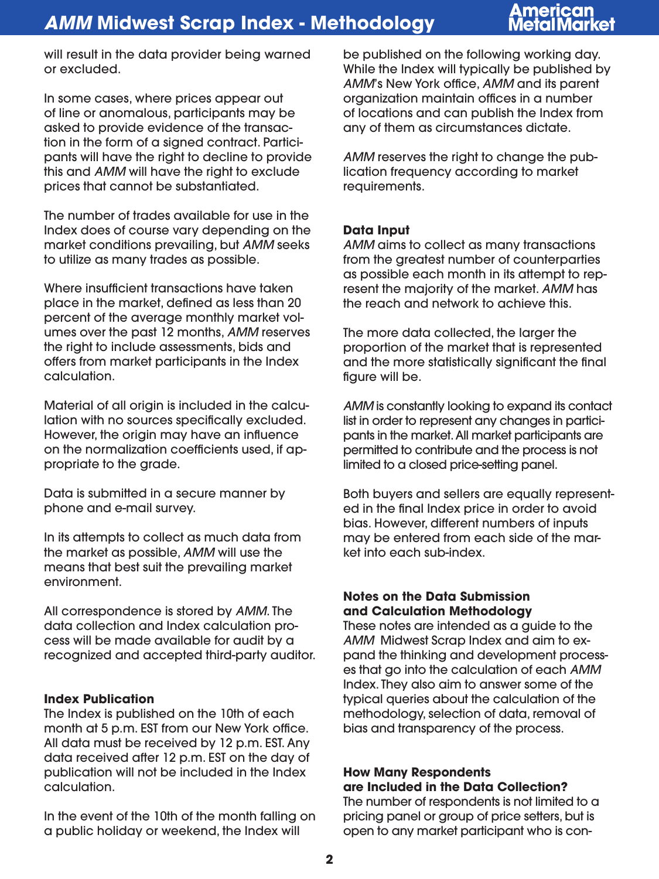# merican

will result in the data provider being warned or excluded.

In some cases, where prices appear out of line or anomalous, participants may be asked to provide evidence of the transaction in the form of a signed contract. Participants will have the right to decline to provide this and *AMM* will have the right to exclude prices that cannot be substantiated.

The number of trades available for use in the Index does of course vary depending on the market conditions prevailing, but *AMM* seeks to utilize as many trades as possible.

Where insufficient transactions have taken place in the market, defined as less than 20 percent of the average monthly market volumes over the past 12 months, *AMM* reserves the right to include assessments, bids and offers from market participants in the Index calculation.

Material of all origin is included in the calculation with no sources specifically excluded. However, the origin may have an influence on the normalization coefficients used, if appropriate to the grade.

Data is submitted in a secure manner by phone and e-mail survey.

In its attempts to collect as much data from the market as possible, *AMM* will use the means that best suit the prevailing market environment.

All correspondence is stored by *AMM*. The data collection and Index calculation process will be made available for audit by a recognized and accepted third-party auditor.

### **Index Publication**

The Index is published on the 10th of each month at 5 p.m. EST from our New York office. All data must be received by 12 p.m. EST. Any data received after 12 p.m. EST on the day of publication will not be included in the Index calculation.

In the event of the 10th of the month falling on a public holiday or weekend, the Index will

be published on the following working day. While the Index will typically be published by *AMM*'s New York office, *AMM* and its parent organization maintain offices in a number of locations and can publish the Index from any of them as circumstances dictate.

*AMM* reserves the right to change the publication frequency according to market requirements.

### **Data Input**

*AMM* aims to collect as many transactions from the greatest number of counterparties as possible each month in its attempt to represent the majority of the market. *AMM* has the reach and network to achieve this.

The more data collected, the larger the proportion of the market that is represented and the more statistically significant the final figure will be.

*AMM* is constantly looking to expand its contact list in order to represent any changes in participants in the market. All market participants are permitted to contribute and the process is not limited to a closed price-setting panel.

Both buyers and sellers are equally represented in the final Index price in order to avoid bias. However, different numbers of inputs may be entered from each side of the market into each sub-index.

### **Notes on the Data Submission and Calculation Methodology**

These notes are intended as a guide to the *AMM* Midwest Scrap Index and aim to expand the thinking and development processes that go into the calculation of each *AMM* Index. They also aim to answer some of the typical queries about the calculation of the methodology, selection of data, removal of bias and transparency of the process.

## **How Many Respondents are Included in the Data Collection?**

The number of respondents is not limited to a pricing panel or group of price setters, but is open to any market participant who is con-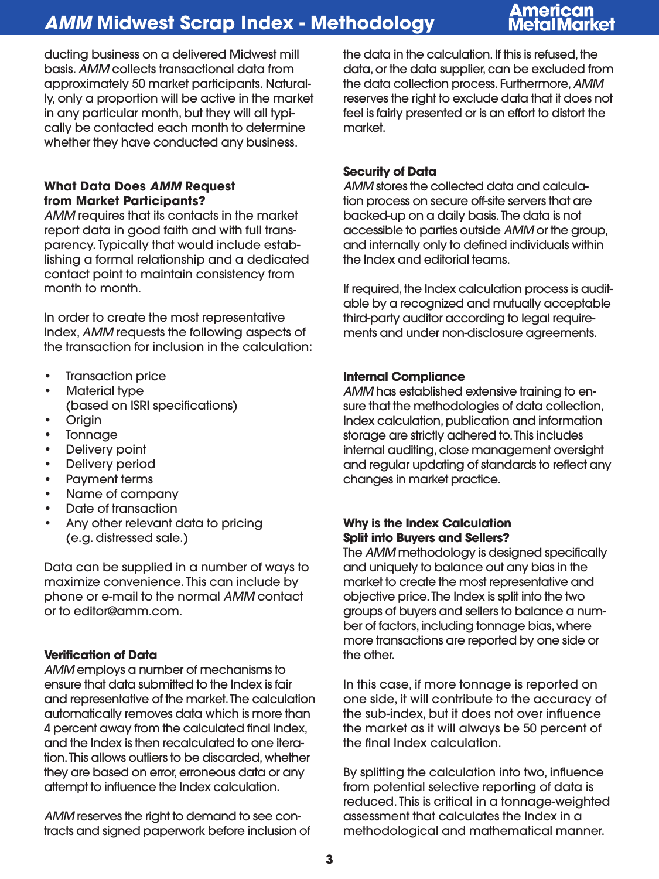# merican

ducting business on a delivered Midwest mill basis. *AMM* collects transactional data from approximately 50 market participants. Naturally, only a proportion will be active in the market in any particular month, but they will all typically be contacted each month to determine whether they have conducted any business.

### **What Data Does** *AMM* **Request from Market Participants?**

*AMM* requires that its contacts in the market report data in good faith and with full transparency. Typically that would include establishing a formal relationship and a dedicated contact point to maintain consistency from month to month.

In order to create the most representative Index, *AMM* requests the following aspects of the transaction for inclusion in the calculation:

- Transaction price
- Material type (based on ISRI specifications)
- Origin
- Tonnage
- Delivery point
- Delivery period
- Payment terms
- Name of company
- Date of transaction
- Any other relevant data to pricing (e.g. distressed sale.)

Data can be supplied in a number of ways to maximize convenience. This can include by phone or e-mail to the normal *AMM* contact or to editor@amm.com.

### **Verification of Data**

*AMM* employs a number of mechanisms to ensure that data submitted to the Index is fair and representative of the market. The calculation automatically removes data which is more than 4 percent away from the calculated final Index, and the Index is then recalculated to one iteration. This allows outliers to be discarded, whether they are based on error, erroneous data or any attempt to influence the Index calculation.

*AMM* reserves the right to demand to see contracts and signed paperwork before inclusion of the data in the calculation. If this is refused, the data, or the data supplier, can be excluded from the data collection process. Furthermore, *AMM* reserves the right to exclude data that it does not feel is fairly presented or is an effort to distort the market.

### **Security of Data**

*AMM* stores the collected data and calculation process on secure off-site servers that are backed-up on a daily basis. The data is not accessible to parties outside *AMM* or the group, and internally only to defined individuals within the Index and editorial teams.

If required, the Index calculation process is auditable by a recognized and mutually acceptable third-party auditor according to legal requirements and under non-disclosure agreements.

#### **Internal Compliance**

*AMM* has established extensive training to ensure that the methodologies of data collection, Index calculation, publication and information storage are strictly adhered to. This includes internal auditing, close management oversight and regular updating of standards to reflect any changes in market practice.

### **Why is the Index Calculation Split into Buyers and Sellers?**

The *AMM* methodology is designed specifically and uniquely to balance out any bias in the market to create the most representative and objective price. The Index is split into the two groups of buyers and sellers to balance a number of factors, including tonnage bias, where more transactions are reported by one side or the other.

In this case, if more tonnage is reported on one side, it will contribute to the accuracy of the sub-index, but it does not over influence the market as it will always be 50 percent of the final Index calculation.

By splitting the calculation into two, influence from potential selective reporting of data is reduced. This is critical in a tonnage-weighted assessment that calculates the Index in a methodological and mathematical manner.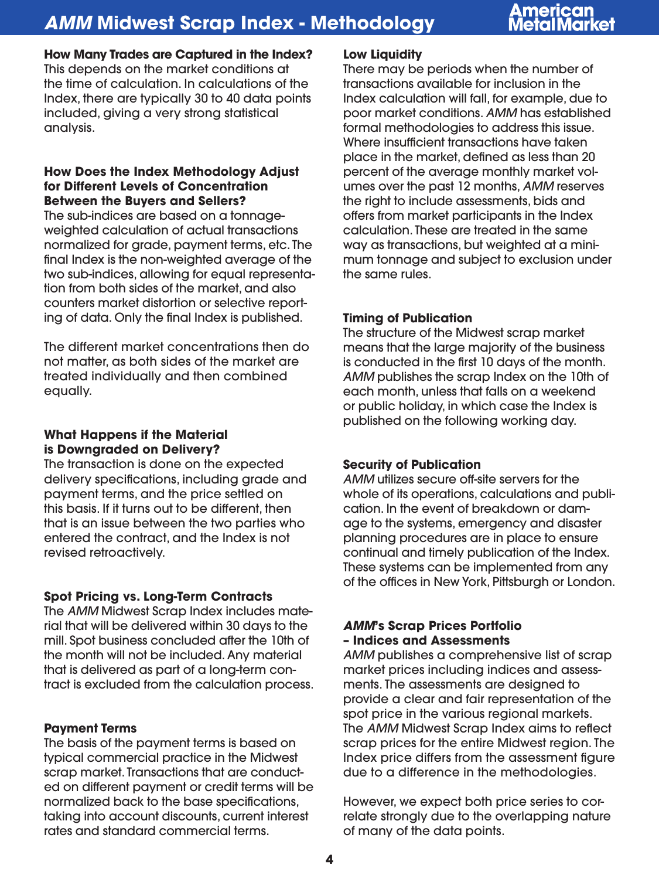# merican

**How Many Trades are Captured in the Index?** This depends on the market conditions at the time of calculation. In calculations of the Index, there are typically 30 to 40 data points included, giving a very strong statistical analysis.

### **How Does the Index Methodology Adjust for Different Levels of Concentration Between the Buyers and Sellers?**

The sub-indices are based on a tonnageweighted calculation of actual transactions normalized for grade, payment terms, etc. The final Index is the non-weighted average of the two sub-indices, allowing for equal representation from both sides of the market, and also counters market distortion or selective reporting of data. Only the final Index is published.

The different market concentrations then do not matter, as both sides of the market are treated individually and then combined equally.

## **What Happens if the Material is Downgraded on Delivery?**

The transaction is done on the expected delivery specifications, including grade and payment terms, and the price settled on this basis. If it turns out to be different, then that is an issue between the two parties who entered the contract, and the Index is not revised retroactively.

# **Spot Pricing vs. Long-Term Contracts**

The *AMM* Midwest Scrap Index includes material that will be delivered within 30 days to the mill. Spot business concluded after the 10th of the month will not be included. Any material that is delivered as part of a long-term contract is excluded from the calculation process.

# **Payment Terms**

The basis of the payment terms is based on typical commercial practice in the Midwest scrap market. Transactions that are conducted on different payment or credit terms will be normalized back to the base specifications, taking into account discounts, current interest rates and standard commercial terms.

## **Low Liquidity**

There may be periods when the number of transactions available for inclusion in the Index calculation will fall, for example, due to poor market conditions. *AMM* has established formal methodologies to address this issue. Where insufficient transactions have taken place in the market, defined as less than 20 percent of the average monthly market volumes over the past 12 months, *AMM* reserves the right to include assessments, bids and offers from market participants in the Index calculation. These are treated in the same way as transactions, but weighted at a minimum tonnage and subject to exclusion under the same rules.

# **Timing of Publication**

The structure of the Midwest scrap market means that the large majority of the business is conducted in the first 10 days of the month. *AMM* publishes the scrap Index on the 10th of each month, unless that falls on a weekend or public holiday, in which case the Index is published on the following working day.

### **Security of Publication**

*AMM* utilizes secure off-site servers for the whole of its operations, calculations and publication. In the event of breakdown or damage to the systems, emergency and disaster planning procedures are in place to ensure continual and timely publication of the Index. These systems can be implemented from any of the offices in New York, Pittsburgh or London.

# *AMM***'s Scrap Prices Portfolio – Indices and Assessments**

*AMM* publishes a comprehensive list of scrap market prices including indices and assessments. The assessments are designed to provide a clear and fair representation of the spot price in the various regional markets. The *AMM* Midwest Scrap Index aims to reflect scrap prices for the entire Midwest region. The Index price differs from the assessment figure due to a difference in the methodologies.

However, we expect both price series to correlate strongly due to the overlapping nature of many of the data points.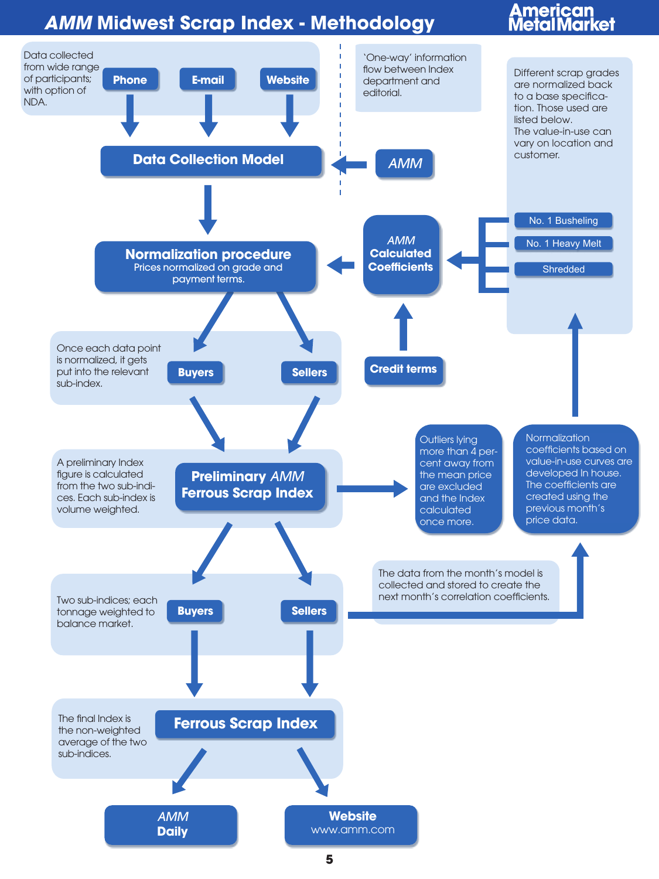# **American<br>Metal Market**

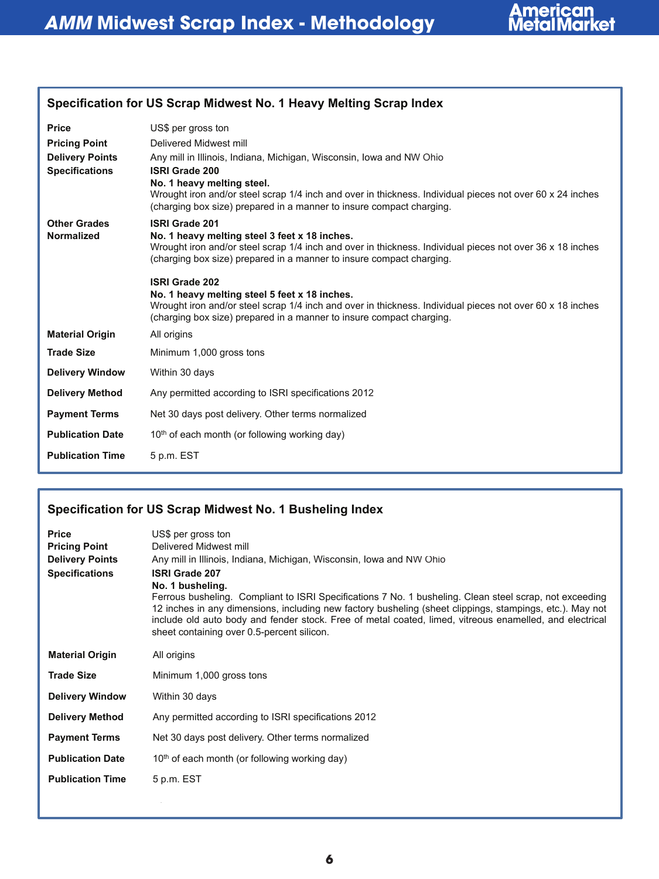

| Specification for US Scrap Midwest No. 1 Heavy Melting Scrap Index                      |                                                                                                                                                                                                                                                                                                                                                                                                                                                                                                                            |  |
|-----------------------------------------------------------------------------------------|----------------------------------------------------------------------------------------------------------------------------------------------------------------------------------------------------------------------------------------------------------------------------------------------------------------------------------------------------------------------------------------------------------------------------------------------------------------------------------------------------------------------------|--|
| <b>Price</b><br><b>Pricing Point</b><br><b>Delivery Points</b><br><b>Specifications</b> | US\$ per gross ton<br>Delivered Midwest mill<br>Any mill in Illinois, Indiana, Michigan, Wisconsin, Iowa and NW Ohio<br><b>ISRI Grade 200</b><br>No. 1 heavy melting steel.<br>Wrought iron and/or steel scrap 1/4 inch and over in thickness. Individual pieces not over 60 x 24 inches<br>(charging box size) prepared in a manner to insure compact charging.                                                                                                                                                           |  |
| <b>Other Grades</b><br><b>Normalized</b>                                                | <b>ISRI Grade 201</b><br>No. 1 heavy melting steel 3 feet x 18 inches.<br>Wrought iron and/or steel scrap 1/4 inch and over in thickness. Individual pieces not over 36 x 18 inches<br>(charging box size) prepared in a manner to insure compact charging.<br><b>ISRI Grade 202</b><br>No. 1 heavy melting steel 5 feet x 18 inches.<br>Wrought iron and/or steel scrap 1/4 inch and over in thickness. Individual pieces not over 60 x 18 inches<br>(charging box size) prepared in a manner to insure compact charging. |  |
| <b>Material Origin</b>                                                                  | All origins                                                                                                                                                                                                                                                                                                                                                                                                                                                                                                                |  |
| <b>Trade Size</b>                                                                       | Minimum 1,000 gross tons                                                                                                                                                                                                                                                                                                                                                                                                                                                                                                   |  |
| <b>Delivery Window</b>                                                                  | Within 30 days                                                                                                                                                                                                                                                                                                                                                                                                                                                                                                             |  |
| <b>Delivery Method</b>                                                                  | Any permitted according to ISRI specifications 2012                                                                                                                                                                                                                                                                                                                                                                                                                                                                        |  |
| <b>Payment Terms</b>                                                                    | Net 30 days post delivery. Other terms normalized                                                                                                                                                                                                                                                                                                                                                                                                                                                                          |  |
| <b>Publication Date</b>                                                                 | 10 <sup>th</sup> of each month (or following working day)                                                                                                                                                                                                                                                                                                                                                                                                                                                                  |  |
| <b>Publication Time</b>                                                                 | 5 p.m. EST                                                                                                                                                                                                                                                                                                                                                                                                                                                                                                                 |  |

# Specification for US Scrap Midwest No. 1 Busheling Index **Specification for US Scrap Midwest No. 1 Busheling Index**

| <b>Price</b><br><b>Pricing Point</b><br><b>Delivery Points</b><br><b>Specifications</b> | US\$ per gross ton<br>Delivered Midwest mill<br>Any mill in Illinois, Indiana, Michigan, Wisconsin, Iowa and NW Ohio<br><b>ISRI Grade 207</b><br>No. 1 busheling.<br>Ferrous busheling. Compliant to ISRI Specifications 7 No. 1 busheling. Clean steel scrap, not exceeding<br>12 inches in any dimensions, including new factory busheling (sheet clippings, stampings, etc.). May not<br>include old auto body and fender stock. Free of metal coated, limed, vitreous enamelled, and electrical<br>sheet containing over 0.5-percent silicon. |
|-----------------------------------------------------------------------------------------|---------------------------------------------------------------------------------------------------------------------------------------------------------------------------------------------------------------------------------------------------------------------------------------------------------------------------------------------------------------------------------------------------------------------------------------------------------------------------------------------------------------------------------------------------|
| <b>Material Origin</b>                                                                  | All origins                                                                                                                                                                                                                                                                                                                                                                                                                                                                                                                                       |
| <b>Trade Size</b>                                                                       | Minimum 1,000 gross tons                                                                                                                                                                                                                                                                                                                                                                                                                                                                                                                          |
| <b>Delivery Window</b>                                                                  | Within 30 days                                                                                                                                                                                                                                                                                                                                                                                                                                                                                                                                    |
| <b>Delivery Method</b>                                                                  | Any permitted according to ISRI specifications 2012                                                                                                                                                                                                                                                                                                                                                                                                                                                                                               |
| <b>Payment Terms</b>                                                                    | Net 30 days post delivery. Other terms normalized                                                                                                                                                                                                                                                                                                                                                                                                                                                                                                 |
| <b>Publication Date</b>                                                                 | $10th$ of each month (or following working day)                                                                                                                                                                                                                                                                                                                                                                                                                                                                                                   |
| <b>Publication Time</b>                                                                 | 5 p.m. EST                                                                                                                                                                                                                                                                                                                                                                                                                                                                                                                                        |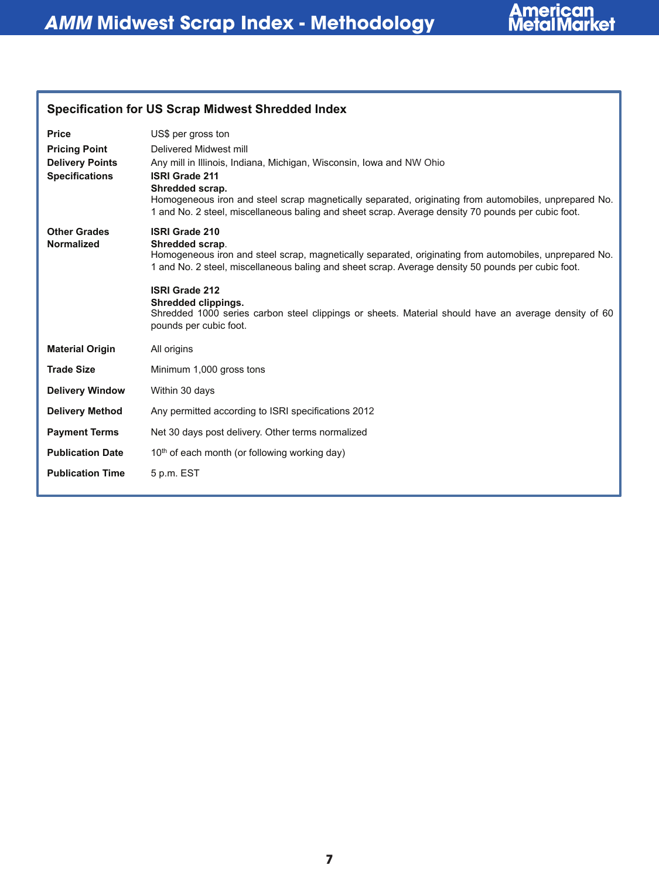

| Specification for US Scrap Midwest Shrequed Index                                       |                                                                                                                                                                                                                                                                                                                                                                                                                                            |  |
|-----------------------------------------------------------------------------------------|--------------------------------------------------------------------------------------------------------------------------------------------------------------------------------------------------------------------------------------------------------------------------------------------------------------------------------------------------------------------------------------------------------------------------------------------|--|
| <b>Price</b><br><b>Pricing Point</b><br><b>Delivery Points</b><br><b>Specifications</b> | US\$ per gross ton<br>Delivered Midwest mill<br>Any mill in Illinois, Indiana, Michigan, Wisconsin, Iowa and NW Ohio<br><b>ISRI Grade 211</b><br>Shredded scrap.<br>Homogeneous iron and steel scrap magnetically separated, originating from automobiles, unprepared No.<br>1 and No. 2 steel, miscellaneous baling and sheet scrap. Average density 70 pounds per cubic foot.                                                            |  |
| <b>Other Grades</b><br>Normalized                                                       | <b>ISRI Grade 210</b><br>Shredded scrap.<br>Homogeneous iron and steel scrap, magnetically separated, originating from automobiles, unprepared No.<br>1 and No. 2 steel, miscellaneous baling and sheet scrap. Average density 50 pounds per cubic foot.<br><b>ISRI Grade 212</b><br>Shredded clippings.<br>Shredded 1000 series carbon steel clippings or sheets. Material should have an average density of 60<br>pounds per cubic foot. |  |
| <b>Material Origin</b>                                                                  | All origins                                                                                                                                                                                                                                                                                                                                                                                                                                |  |
| <b>Trade Size</b>                                                                       | Minimum 1,000 gross tons                                                                                                                                                                                                                                                                                                                                                                                                                   |  |
| <b>Delivery Window</b>                                                                  | Within 30 days                                                                                                                                                                                                                                                                                                                                                                                                                             |  |
| <b>Delivery Method</b>                                                                  | Any permitted according to ISRI specifications 2012                                                                                                                                                                                                                                                                                                                                                                                        |  |
| <b>Payment Terms</b>                                                                    | Net 30 days post delivery. Other terms normalized                                                                                                                                                                                                                                                                                                                                                                                          |  |
| <b>Publication Date</b>                                                                 | 10 <sup>th</sup> of each month (or following working day)                                                                                                                                                                                                                                                                                                                                                                                  |  |
| <b>Publication Time</b>                                                                 | 5 p.m. EST                                                                                                                                                                                                                                                                                                                                                                                                                                 |  |